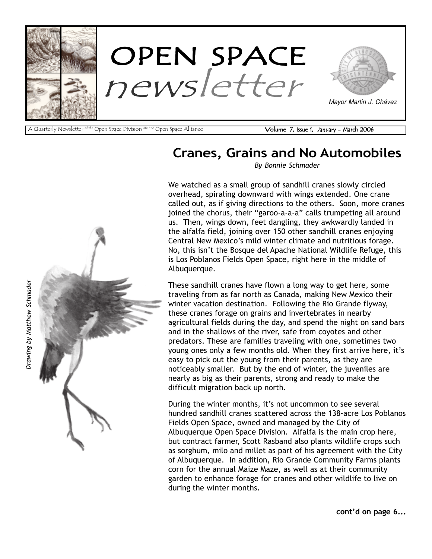

A Quarterly Newsletter <sup>of the</sup> Open Space Division <sup>and the</sup> Open Space Alliance **Volume 7, Issue 1, January - March 2006** 

# Cranes, Grains and No Automobiles

By Bonnie Schmader

We watched as a small group of sandhill cranes slowly circled overhead, spiraling downward with wings extended. One crane called out, as if giving directions to the others. Soon, more cranes joined the chorus, their "garoo-a-a-a" calls trumpeting all around us. Then, wings down, feet dangling, they awkwardly landed in the alfalfa field, joining over 150 other sandhill cranes enjoying Central New Mexico's mild winter climate and nutritious forage. No, this isn't the Bosque del Apache National Wildlife Refuge, this is Los Poblanos Fields Open Space, right here in the middle of Albuquerque.

These sandhill cranes have flown a long way to get here, some traveling from as far north as Canada, making New Mexico their winter vacation destination. Following the Rio Grande flyway, these cranes forage on grains and invertebrates in nearby agricultural fields during the day, and spend the night on sand bars and in the shallows of the river, safe from coyotes and other predators. These are families traveling with one, sometimes two young ones only a few months old. When they first arrive here, it's easy to pick out the young from their parents, as they are noticeably smaller. But by the end of winter, the juveniles are nearly as big as their parents, strong and ready to make the difficult migration back up north.

During the winter months, it's not uncommon to see several hundred sandhill cranes scattered across the 138-acre Los Poblanos Fields Open Space, owned and managed by the City of Albuquerque Open Space Division. Alfalfa is the main crop here, but contract farmer, Scott Rasband also plants wildlife crops such as sorghum, milo and millet as part of his agreement with the City of Albuquerque. In addition, Rio Grande Community Farms plants corn for the annual Maize Maze, as well as at their community garden to enhance forage for cranes and other wildlife to live on during the winter months.



cont'd on page 6...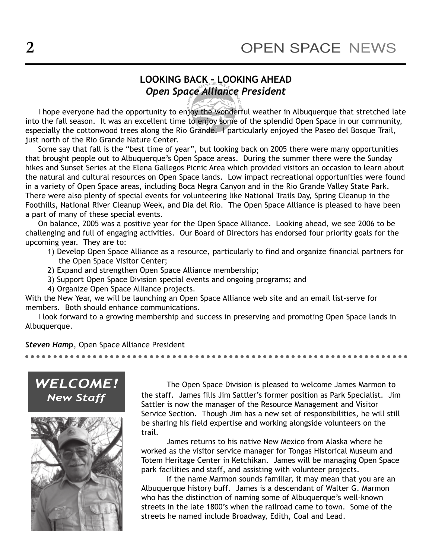# LOOKING BACK - LOOKING AHEAD Open Space Alliance President

I hope everyone had the opportunity to enjoy the wonderful weather in Albuquerque that stretched late into the fall season. It was an excellent time to enjoy some of the splendid Open Space in our community, especially the cottonwood trees along the Rio Grande. I particularly enjoyed the Paseo del Bosque Trail, just north of the Rio Grande Nature Center.

Some say that fall is the "best time of year", but looking back on 2005 there were many opportunities that brought people out to Albuquerque's Open Space areas. During the summer there were the Sunday hikes and Sunset Series at the Elena Gallegos Picnic Area which provided visitors an occasion to learn about the natural and cultural resources on Open Space lands. Low impact recreational opportunities were found in a variety of Open Space areas, including Boca Negra Canyon and in the Rio Grande Valley State Park. There were also plenty of special events for volunteering like National Trails Day, Spring Cleanup in the Foothills, National River Cleanup Week, and Dia del Rio. The Open Space Alliance is pleased to have been a part of many of these special events.

On balance, 2005 was a positive year for the Open Space Alliance. Looking ahead, we see 2006 to be challenging and full of engaging activities. Our Board of Directors has endorsed four priority goals for the upcoming year. They are to:

- 1) Develop Open Space Alliance as a resource, particularly to find and organize financial partners for the Open Space Visitor Center;
- 2) Expand and strengthen Open Space Alliance membership;
- 3) Support Open Space Division special events and ongoing programs; and
- 4) Organize Open Space Alliance projects.

With the New Year, we will be launching an Open Space Alliance web site and an email list-serve for members. Both should enhance communications.

- -

I look forward to a growing membership and success in preserving and promoting Open Space lands in Albuquerque.

- - -

- -

- - -

-

#### Steven Hamp, Open Space Alliance President - - -

-

- - -

-

- - -

-

- - -



The Open Space Division is pleased to welcome James Marmon to the staff. James fills Jim Sattler's former position as Park Specialist. Jim Sattler is now the manager of the Resource Management and Visitor Service Section. Though Jim has a new set of responsibilities, he will still be sharing his field expertise and working alongside volunteers on the trail.

- - -

-

- - -

-

James returns to his native New Mexico from Alaska where he worked as the visitor service manager for Tongas Historical Museum and Totem Heritage Center in Ketchikan. James will be managing Open Space park facilities and staff, and assisting with volunteer projects.

If the name Marmon sounds familiar, it may mean that you are an Albuquerque history buff. James is a descendant of Walter G. Marmon who has the distinction of naming some of Albuquerque's well-known streets in the late 1800ís when the railroad came to town. Some of the streets he named include Broadway, Edith, Coal and Lead.

-

- - -

- -

- - -

- -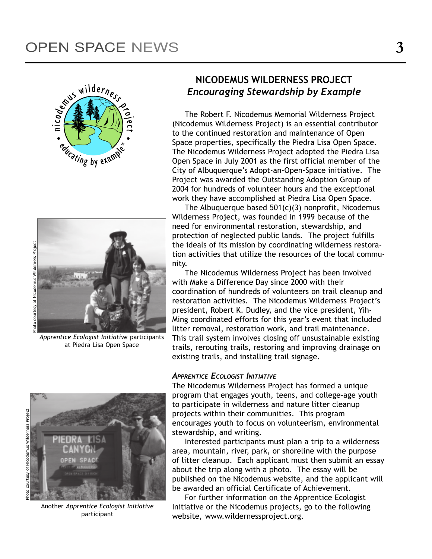



Apprentice Ecologist Initiative participants at Piedra Lisa Open Space

# NICODEMUS WILDERNESS PROJECT Encouraging Stewardship by Example

The Robert F. Nicodemus Memorial Wilderness Project (Nicodemus Wilderness Project) is an essential contributor to the continued restoration and maintenance of Open Space properties, specifically the Piedra Lisa Open Space. The Nicodemus Wilderness Project adopted the Piedra Lisa Open Space in July 2001 as the first official member of the City of Albuquerque's Adopt-an-Open-Space initiative. The Project was awarded the Outstanding Adoption Group of 2004 for hundreds of volunteer hours and the exceptional work they have accomplished at Piedra Lisa Open Space.

The Albuquerque based  $501(c)(3)$  nonprofit, Nicodemus Wilderness Project, was founded in 1999 because of the need for environmental restoration, stewardship, and protection of neglected public lands. The project fulfills the ideals of its mission by coordinating wilderness restoration activities that utilize the resources of the local community.

The Nicodemus Wilderness Project has been involved with Make a Difference Day since 2000 with their coordination of hundreds of volunteers on trail cleanup and restoration activities. The Nicodemus Wilderness Project's president, Robert K. Dudley, and the vice president, Yih-Ming coordinated efforts for this year's event that included litter removal, restoration work, and trail maintenance. This trail system involves closing off unsustainable existing trails, rerouting trails, restoring and improving drainage on existing trails, and installing trail signage.

#### APPRENTICE ECOLOGIST INITIATIVE

The Nicodemus Wilderness Project has formed a unique program that engages youth, teens, and college-age youth to participate in wilderness and nature litter cleanup projects within their communities. This program encourages youth to focus on volunteerism, environmental stewardship, and writing.

Interested participants must plan a trip to a wilderness area, mountain, river, park, or shoreline with the purpose of litter cleanup. Each applicant must then submit an essay about the trip along with a photo. The essay will be published on the Nicodemus website, and the applicant will be awarded an official Certificate of Achievement.

For further information on the Apprentice Ecologist Initiative or the Nicodemus projects, go to the following website, www.wildernessproject.org.



Another Apprentice Ecologist Initiative participant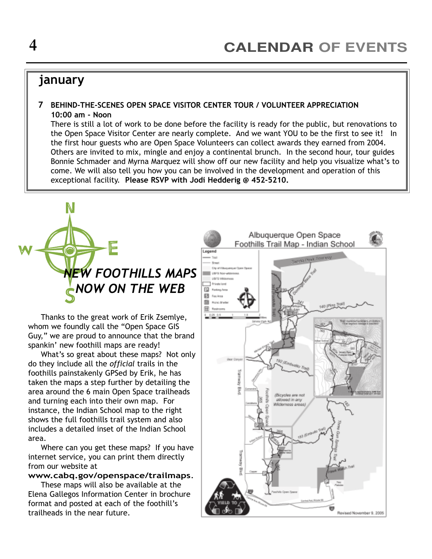# january

#### 7 BEHIND-THE-SCENES OPEN SPACE VISITOR CENTER TOUR / VOLUNTEER APPRECIATION 10:00 am - Noon

There is still a lot of work to be done before the facility is ready for the public, but renovations to the Open Space Visitor Center are nearly complete. And we want YOU to be the first to see it! In the first hour guests who are Open Space Volunteers can collect awards they earned from 2004. Others are invited to mix, mingle and enjoy a continental brunch. In the second hour, tour guides Bonnie Schmader and Myrna Marquez will show off our new facility and help you visualize what's to come. We will also tell you how you can be involved in the development and operation of this exceptional facility. Please RSVP with Jodi Hedderig @ 452-5210.



Thanks to the great work of Erik Zsemlye, whom we foundly call the "Open Space GIS Guy," we are proud to announce that the brand spankin' new foothill maps are ready!

What's so great about these maps? Not only do they include all the official trails in the foothills painstakenly GPSed by Erik, he has taken the maps a step further by detailing the area around the 6 main Open Space trailheads and turning each into their own map. For instance, the Indian School map to the right shows the full foothills trail system and also includes a detailed inset of the Indian School area.

Where can you get these maps? If you have internet service, you can print them directly from our website at

#### www.cabq.gov/openspace/trailmaps.

These maps will also be available at the Elena Gallegos Information Center in brochure format and posted at each of the foothill's trailheads in the near future.

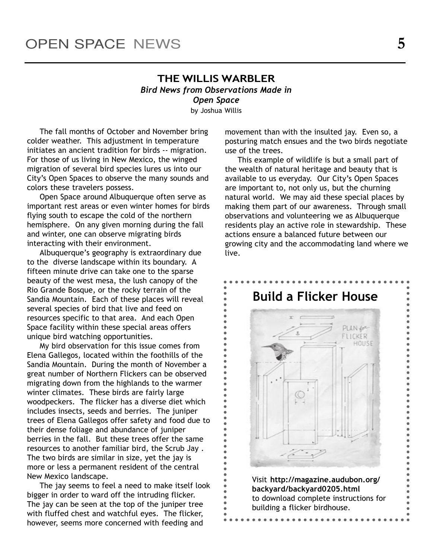### THE WILLIS WARBLER Bird News from Observations Made in Open Space

by Joshua Willis

The fall months of October and November bring colder weather. This adjustment in temperature initiates an ancient tradition for birds -- migration. For those of us living in New Mexico, the winged migration of several bird species lures us into our City's Open Spaces to observe the many sounds and colors these travelers possess.

Open Space around Albuquerque often serve as important rest areas or even winter homes for birds flying south to escape the cold of the northern hemisphere. On any given morning during the fall and winter, one can observe migrating birds interacting with their environment.

Albuquerque's geography is extraordinary due to the diverse landscape within its boundary. A fifteen minute drive can take one to the sparse beauty of the west mesa, the lush canopy of the Rio Grande Bosque, or the rocky terrain of the Sandia Mountain. Each of these places will reveal several species of bird that live and feed on resources specific to that area. And each Open Space facility within these special areas offers unique bird watching opportunities.

My bird observation for this issue comes from Elena Gallegos, located within the foothills of the Sandia Mountain. During the month of November a great number of Northern Flickers can be observed migrating down from the highlands to the warmer winter climates. These birds are fairly large woodpeckers. The flicker has a diverse diet which includes insects, seeds and berries. The juniper trees of Elena Gallegos offer safety and food due to their dense foliage and abundance of juniper berries in the fall. But these trees offer the same resources to another familiar bird, the Scrub Jay . The two birds are similar in size, yet the jay is more or less a permanent resident of the central New Mexico landscape.

The jay seems to feel a need to make itself look bigger in order to ward off the intruding flicker. The jay can be seen at the top of the juniper tree with fluffed chest and watchful eyes. The flicker, however, seems more concerned with feeding and

movement than with the insulted jay. Even so, a posturing match ensues and the two birds negotiate use of the trees.

This example of wildlife is but a small part of the wealth of natural heritage and beauty that is available to us everyday. Our City's Open Spaces are important to, not only us, but the churning natural world. We may aid these special places by making them part of our awareness. Through small observations and volunteering we as Albuquerque residents play an active role in stewardship. These actions ensure a balanced future between our growing city and the accommodating land where we live.

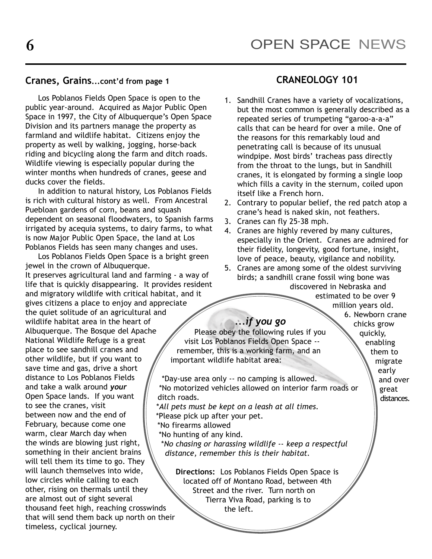# Cranes, Grains...cont'd from page 1 CRANEOLOGY 101

Los Poblanos Fields Open Space is open to the public year-around. Acquired as Major Public Open Space in 1997, the City of Albuquerque's Open Space Division and its partners manage the property as farmland and wildlife habitat. Citizens enjoy the property as well by walking, jogging, horse-back riding and bicycling along the farm and ditch roads. Wildlife viewing is especially popular during the winter months when hundreds of cranes, geese and ducks cover the fields.

In addition to natural history, Los Poblanos Fields is rich with cultural history as well. From Ancestral Puebloan gardens of corn, beans and squash dependent on seasonal floodwaters, to Spanish farms irrigated by acequia systems, to dairy farms, to what is now Major Public Open Space, the land at Los Poblanos Fields has seen many changes and uses.

Los Poblanos Fields Open Space is a bright green jewel in the crown of Albuquerque. It preserves agricultural land and farming - a way of life that is quickly disappearing. It provides resident and migratory wildlife with critical habitat, and it gives citizens a place to enjoy and appreciate the quiet solitude of an agricultural and wildlife habitat area in the heart of Albuquerque. The Bosque del Apache National Wildlife Refuge is a great place to see sandhill cranes and other wildlife, but if you want to save time and gas, drive a short distance to Los Poblanos Fields and take a walk around your Open Space lands. If you want to see the cranes, visit between now and the end of February, because come one warm, clear March day when the winds are blowing just right, something in their ancient brains will tell them its time to go. They will launch themselves into wide, low circles while calling to each other, rising on thermals until they are almost out of sight several thousand feet high, reaching crosswinds that will send them back up north on their timeless, cyclical journey.

- 1. Sandhill Cranes have a variety of vocalizations, but the most common is generally described as a repeated series of trumpeting "garoo-a-a-a" calls that can be heard for over a mile. One of the reasons for this remarkably loud and penetrating call is because of its unusual windpipe. Most birds' tracheas pass directly from the throat to the lungs, but in Sandhill cranes, it is elongated by forming a single loop which fills a cavity in the sternum, coiled upon itself like a French horn.
- 2. Contrary to popular belief, the red patch atop a crane's head is naked skin, not feathers.
- 3. Cranes can fly 25-38 mph.
- 4. Cranes are highly revered by many cultures, especially in the Orient. Cranes are admired for their fidelity, longevity, good fortune, insight, love of peace, beauty, vigilance and nobility.
- 5. Cranes are among some of the oldest surviving birds; a sandhill crane fossil wing bone was discovered in Nebraska and

estimated to be over 9 million years old.

> 6. Newborn crane chicks grow quickly,

### ...if you go

Please obey the following rules if you visit Los Poblanos Fields Open Space - remember, this is a working farm, and an important wildlife habitat area:

\*Day-use area only -- no camping is allowed. \*No motorized vehicles allowed on interior farm roads or ditch roads.

\*All pets must be kept on a leash at all times.

- \*Please pick up after your pet.
- \*No firearms allowed

\*No hunting of any kind.

\*No chasing or harassing wildlife -- keep a respectful distance, remember this is their habitat.

Directions: Los Poblanos Fields Open Space is located off of Montano Road, between 4th Street and the river. Turn north on Tierra Viva Road, parking is to the left.

enabling them to migrate early and over great

distances.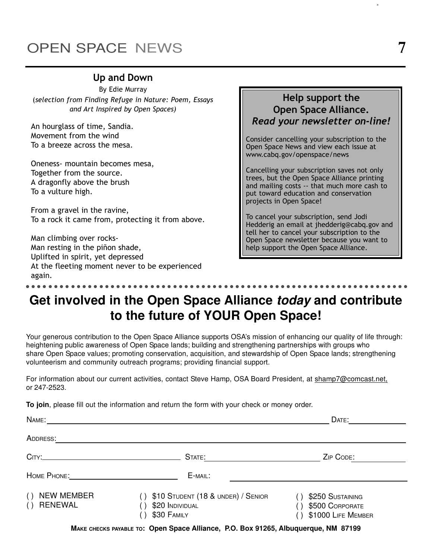# OPEN SPACE NEWS

# Up and Down

By Edie Murray (selection from Finding Refuge in Nature: Poem, Essays and Art Inspired by Open Spaces)

An hourglass of time, Sandia. Movement from the wind To a breeze across the mesa.

Oneness- mountain becomes mesa, Together from the source. A dragonfly above the brush To a vulture high.

- - -

- -

- - -

- -

- - -

-

From a gravel in the ravine, To a rock it came from, protecting it from above.

Man climbing over rocks-Man resting in the piñon shade, Uplifted in spirit, yet depressed At the fleeting moment never to be experienced again.

- - -

-

- - -

-

- - -

- -

- - -

Help support the Open Space Alliance. Read your newsletter on-line!

Consider cancelling your subscription to the Open Space News and view each issue at www.cabq.gov/openspace/news

Cancelling your subscription saves not only trees, but the Open Space Alliance printing and mailing costs -- that much more cash to put toward education and conservation projects in Open Space!

To cancel your subscription, send Jodi Hedderig an email at jhedderig@cabq.gov and tell her to cancel your subscription to the Open Space newsletter because you want to help support the Open Space Alliance.

# **Get involved in the Open Space Alliance today and contribute to the future of YOUR Open Space!**

- -

- - -

-

- - -

-

Your generous contribution to the Open Space Alliance supports OSA's mission of enhancing our quality of life through: heightening public awareness of Open Space lands; building and strengthening partnerships with groups who share Open Space values; promoting conservation, acquisition, and stewardship of Open Space lands; strengthening volunteerism and community outreach programs; providing financial support.

For information about our current activities, contact Steve Hamp, OSA Board President, at shamp7@comcast.net, or 247-2523.

**To join**, please fill out the information and return the form with your check or money order.

| NAME:                                             |                                                                                                                         | DATE:                                                     |
|---------------------------------------------------|-------------------------------------------------------------------------------------------------------------------------|-----------------------------------------------------------|
| ADDRESS:                                          |                                                                                                                         |                                                           |
|                                                   | STATE:                                                                                                                  | ZIP CODE:                                                 |
|                                                   | E-MAIL:                                                                                                                 |                                                           |
| <b>NEW MEMBER</b><br>( )<br><b>RENEWAL</b><br>( ) | \$10 STUDENT (18 & UNDER) / SENIOR<br>$\left( \begin{array}{c} 1 \end{array} \right)$<br>\$20 INDIVIDUAL<br>\$30 FAMILY | \$250 SUSTAINING<br>\$500 CORPORATE<br>\$1000 LIFE MEMBER |
|                                                   |                                                                                                                         |                                                           |

**MAKE CHECKS PAYABLE TO: Open Space Alliance, P.O. Box 91265, Albuquerque, NM 87199**